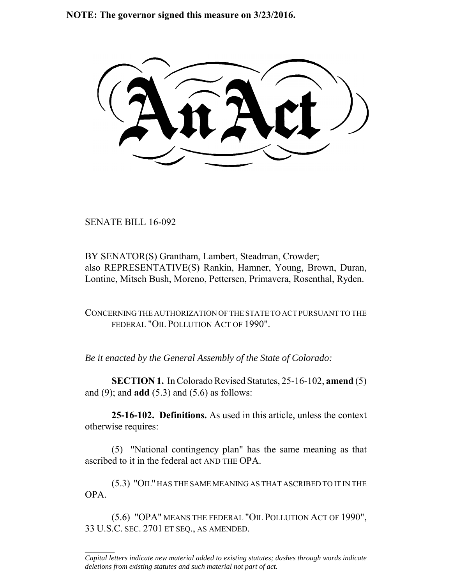**NOTE: The governor signed this measure on 3/23/2016.**

SENATE BILL 16-092

 $\frac{1}{2}$ 

BY SENATOR(S) Grantham, Lambert, Steadman, Crowder; also REPRESENTATIVE(S) Rankin, Hamner, Young, Brown, Duran, Lontine, Mitsch Bush, Moreno, Pettersen, Primavera, Rosenthal, Ryden.

CONCERNING THE AUTHORIZATION OF THE STATE TO ACT PURSUANT TO THE FEDERAL "OIL POLLUTION ACT OF 1990".

*Be it enacted by the General Assembly of the State of Colorado:*

**SECTION 1.** In Colorado Revised Statutes, 25-16-102, **amend** (5) and (9); and **add** (5.3) and (5.6) as follows:

**25-16-102. Definitions.** As used in this article, unless the context otherwise requires:

(5) "National contingency plan" has the same meaning as that ascribed to it in the federal act AND THE OPA.

(5.3) "OIL" HAS THE SAME MEANING AS THAT ASCRIBED TO IT IN THE OPA.

(5.6) "OPA" MEANS THE FEDERAL "OIL POLLUTION ACT OF 1990", 33 U.S.C. SEC. 2701 ET SEQ., AS AMENDED.

*Capital letters indicate new material added to existing statutes; dashes through words indicate deletions from existing statutes and such material not part of act.*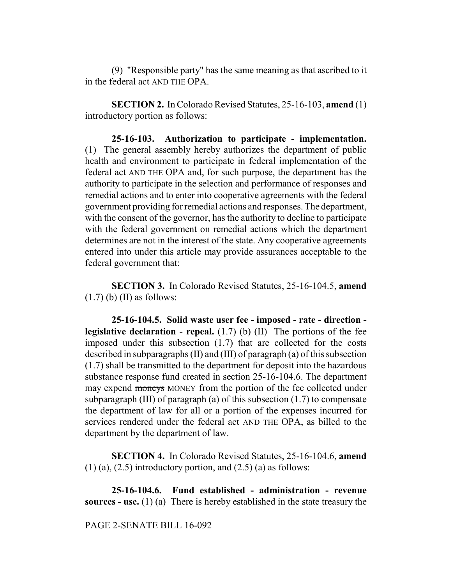(9) "Responsible party" has the same meaning as that ascribed to it in the federal act AND THE OPA.

**SECTION 2.** In Colorado Revised Statutes, 25-16-103, **amend** (1) introductory portion as follows:

**25-16-103. Authorization to participate - implementation.** (1) The general assembly hereby authorizes the department of public health and environment to participate in federal implementation of the federal act AND THE OPA and, for such purpose, the department has the authority to participate in the selection and performance of responses and remedial actions and to enter into cooperative agreements with the federal government providing for remedial actions and responses. The department, with the consent of the governor, has the authority to decline to participate with the federal government on remedial actions which the department determines are not in the interest of the state. Any cooperative agreements entered into under this article may provide assurances acceptable to the federal government that:

**SECTION 3.** In Colorado Revised Statutes, 25-16-104.5, **amend**  $(1.7)$  (b) (II) as follows:

**25-16-104.5. Solid waste user fee - imposed - rate - direction legislative declaration - repeal.** (1.7) (b) (II) The portions of the fee imposed under this subsection (1.7) that are collected for the costs described in subparagraphs (II) and (III) of paragraph (a) of this subsection (1.7) shall be transmitted to the department for deposit into the hazardous substance response fund created in section 25-16-104.6. The department may expend moneys MONEY from the portion of the fee collected under subparagraph (III) of paragraph (a) of this subsection (1.7) to compensate the department of law for all or a portion of the expenses incurred for services rendered under the federal act AND THE OPA, as billed to the department by the department of law.

**SECTION 4.** In Colorado Revised Statutes, 25-16-104.6, **amend**  $(1)$  (a),  $(2.5)$  introductory portion, and  $(2.5)$  (a) as follows:

**25-16-104.6. Fund established - administration - revenue sources - use.** (1) (a) There is hereby established in the state treasury the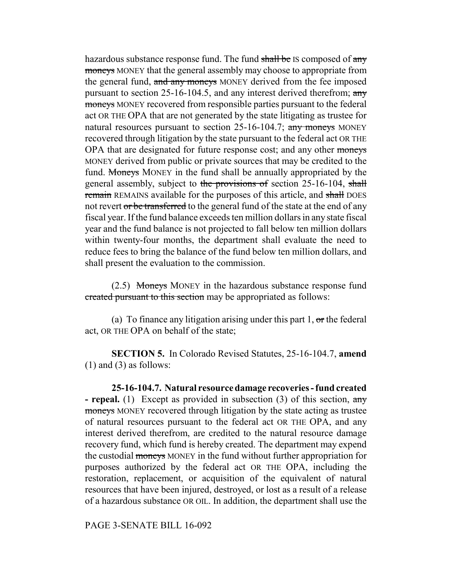hazardous substance response fund. The fund  $\frac{1}{\sqrt{2}}$  is composed of  $\frac{1}{\sqrt{2}}$ moneys MONEY that the general assembly may choose to appropriate from the general fund, and any moneys MONEY derived from the fee imposed pursuant to section 25-16-104.5, and any interest derived therefrom; any moneys MONEY recovered from responsible parties pursuant to the federal act OR THE OPA that are not generated by the state litigating as trustee for natural resources pursuant to section 25-16-104.7; any moneys MONEY recovered through litigation by the state pursuant to the federal act OR THE OPA that are designated for future response cost; and any other moneys MONEY derived from public or private sources that may be credited to the fund. Moneys MONEY in the fund shall be annually appropriated by the general assembly, subject to the provisions of section 25-16-104, shall remain REMAINS available for the purposes of this article, and shall DOES not revert or be transferred to the general fund of the state at the end of any fiscal year. If the fund balance exceeds ten million dollars in any state fiscal year and the fund balance is not projected to fall below ten million dollars within twenty-four months, the department shall evaluate the need to reduce fees to bring the balance of the fund below ten million dollars, and shall present the evaluation to the commission.

(2.5) Moneys MONEY in the hazardous substance response fund created pursuant to this section may be appropriated as follows:

(a) To finance any litigation arising under this part 1,  $\sigma$ r the federal act, OR THE OPA on behalf of the state;

**SECTION 5.** In Colorado Revised Statutes, 25-16-104.7, **amend**  $(1)$  and  $(3)$  as follows:

**25-16-104.7. Natural resource damage recoveries - fund created - repeal.** (1) Except as provided in subsection (3) of this section, any moneys MONEY recovered through litigation by the state acting as trustee of natural resources pursuant to the federal act OR THE OPA, and any interest derived therefrom, are credited to the natural resource damage recovery fund, which fund is hereby created. The department may expend the custodial moneys MONEY in the fund without further appropriation for purposes authorized by the federal act OR THE OPA, including the restoration, replacement, or acquisition of the equivalent of natural resources that have been injured, destroyed, or lost as a result of a release of a hazardous substance OR OIL. In addition, the department shall use the

PAGE 3-SENATE BILL 16-092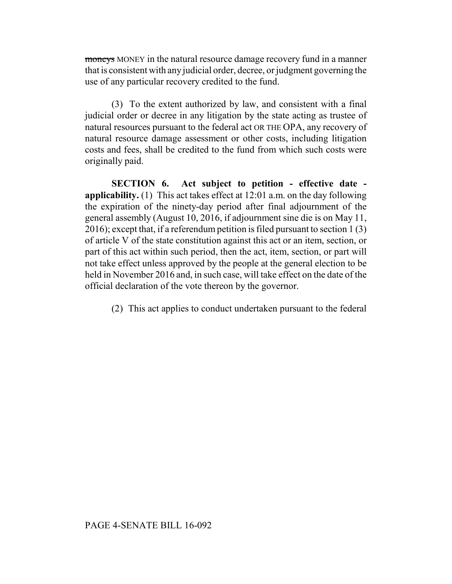moneys MONEY in the natural resource damage recovery fund in a manner that is consistent with any judicial order, decree, or judgment governing the use of any particular recovery credited to the fund.

(3) To the extent authorized by law, and consistent with a final judicial order or decree in any litigation by the state acting as trustee of natural resources pursuant to the federal act OR THE OPA, any recovery of natural resource damage assessment or other costs, including litigation costs and fees, shall be credited to the fund from which such costs were originally paid.

**SECTION 6. Act subject to petition - effective date applicability.** (1) This act takes effect at 12:01 a.m. on the day following the expiration of the ninety-day period after final adjournment of the general assembly (August 10, 2016, if adjournment sine die is on May 11, 2016); except that, if a referendum petition is filed pursuant to section 1 (3) of article V of the state constitution against this act or an item, section, or part of this act within such period, then the act, item, section, or part will not take effect unless approved by the people at the general election to be held in November 2016 and, in such case, will take effect on the date of the official declaration of the vote thereon by the governor.

(2) This act applies to conduct undertaken pursuant to the federal